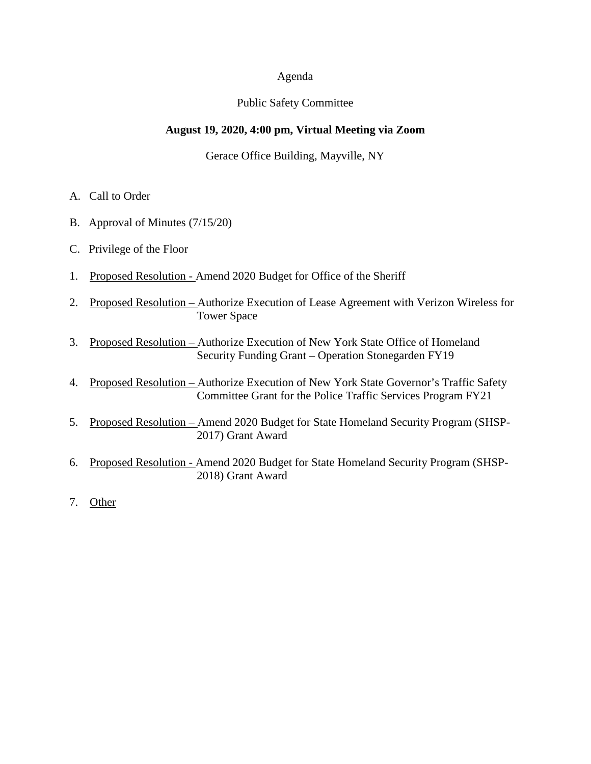#### Agenda

## Public Safety Committee

## **August 19, 2020, 4:00 pm, Virtual Meeting via Zoom**

## Gerace Office Building, Mayville, NY

- A. Call to Order
- B. Approval of Minutes (7/15/20)
- C. Privilege of the Floor
- 1. Proposed Resolution Amend 2020 Budget for Office of the Sheriff
- 2. Proposed Resolution Authorize Execution of Lease Agreement with Verizon Wireless for Tower Space
- 3. Proposed Resolution Authorize Execution of New York State Office of Homeland Security Funding Grant – Operation Stonegarden FY19
- 4. Proposed Resolution Authorize Execution of New York State Governor's Traffic Safety Committee Grant for the Police Traffic Services Program FY21
- 5. Proposed Resolution Amend 2020 Budget for State Homeland Security Program (SHSP- 2017) Grant Award
- 6. Proposed Resolution Amend 2020 Budget for State Homeland Security Program (SHSP- 2018) Grant Award
- 7. Other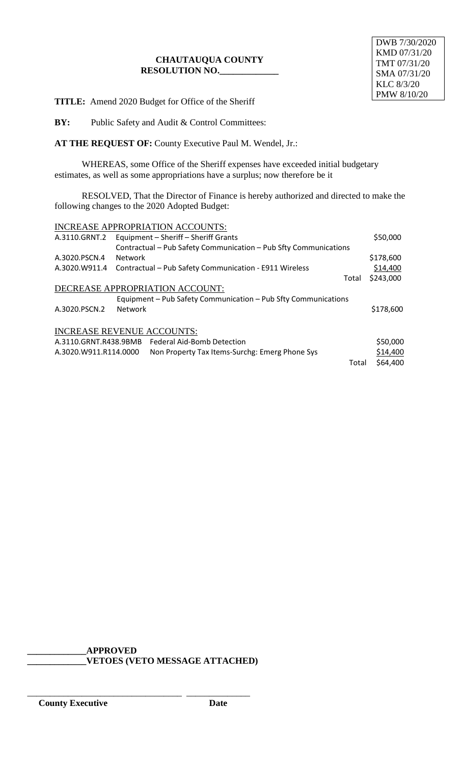## **CHAUTAUQUA COUNTY RESOLUTION NO.\_\_\_\_\_\_\_\_\_\_\_\_\_**

**TITLE:** Amend 2020 Budget for Office of the Sheriff

**BY:** Public Safety and Audit & Control Committees:

**AT THE REQUEST OF:** County Executive Paul M. Wendel, Jr.:

WHEREAS, some Office of the Sheriff expenses have exceeded initial budgetary estimates, as well as some appropriations have a surplus; now therefore be it

RESOLVED, That the Director of Finance is hereby authorized and directed to make the following changes to the 2020 Adopted Budget:

|                                   | <b>INCREASE APPROPRIATION ACCOUNTS:</b>                          |       |           |  |  |  |
|-----------------------------------|------------------------------------------------------------------|-------|-----------|--|--|--|
| A.3110.GRNT.2                     | Equipment - Sheriff - Sheriff Grants                             |       | \$50,000  |  |  |  |
|                                   | Contractual - Pub Safety Communication - Pub Sfty Communications |       |           |  |  |  |
| A.3020.PSCN.4                     | <b>Network</b>                                                   |       | \$178,600 |  |  |  |
| A.3020.W911.4                     | Contractual - Pub Safety Communication - E911 Wireless           |       | \$14,400  |  |  |  |
|                                   |                                                                  | Total | \$243,000 |  |  |  |
| DECREASE APPROPRIATION ACCOUNT:   |                                                                  |       |           |  |  |  |
|                                   | Equipment - Pub Safety Communication - Pub Sfty Communications   |       |           |  |  |  |
| A.3020.PSCN.2                     | <b>Network</b>                                                   |       | \$178,600 |  |  |  |
|                                   |                                                                  |       |           |  |  |  |
| <b>INCREASE REVENUE ACCOUNTS:</b> |                                                                  |       |           |  |  |  |
| A.3110.GRNT.R438.9BMB             | <b>Federal Aid-Bomb Detection</b>                                |       | \$50,000  |  |  |  |
| A.3020.W911.R114.0000             | Non Property Tax Items-Surchg: Emerg Phone Sys                   |       | \$14,400  |  |  |  |
|                                   |                                                                  | Total | \$64,400  |  |  |  |

**\_\_\_\_\_\_\_\_\_\_\_\_\_APPROVED \_\_\_\_\_\_\_\_\_\_\_\_\_VETOES (VETO MESSAGE ATTACHED)**

\_\_\_\_\_\_\_\_\_\_\_\_\_\_\_\_\_\_\_\_\_\_\_\_\_\_\_\_\_\_\_\_\_\_ \_\_\_\_\_\_\_\_\_\_\_\_\_\_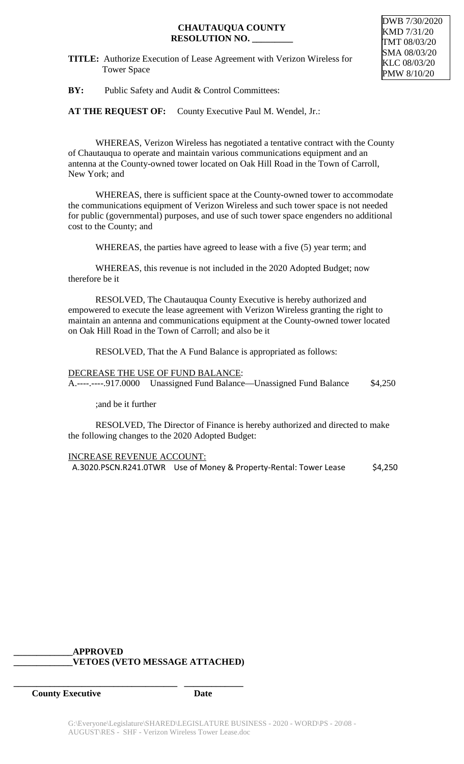## **CHAUTAUQUA COUNTY RESOLUTION NO. \_\_\_\_\_\_\_\_\_**

DWB 7/30/2020 KMD 7/31/20 TMT 08/03/20 SMA 08/03/20 KLC 08/03/20 PMW 8/10/20

**BY:** Public Safety and Audit & Control Committees:

AT THE REQUEST OF: County Executive Paul M. Wendel, Jr.:

WHEREAS, Verizon Wireless has negotiated a tentative contract with the County of Chautauqua to operate and maintain various communications equipment and an antenna at the County-owned tower located on Oak Hill Road in the Town of Carroll, New York; and

WHEREAS, there is sufficient space at the County-owned tower to accommodate the communications equipment of Verizon Wireless and such tower space is not needed for public (governmental) purposes, and use of such tower space engenders no additional cost to the County; and

WHEREAS, the parties have agreed to lease with a five (5) year term; and

WHEREAS, this revenue is not included in the 2020 Adopted Budget; now therefore be it

RESOLVED, The Chautauqua County Executive is hereby authorized and empowered to execute the lease agreement with Verizon Wireless granting the right to maintain an antenna and communications equipment at the County-owned tower located on Oak Hill Road in the Town of Carroll; and also be it

RESOLVED, That the A Fund Balance is appropriated as follows:

DECREASE THE USE OF FUND BALANCE: A.----.----.917.0000 Unassigned Fund Balance—Unassigned Fund Balance \$4,250

;and be it further

RESOLVED, The Director of Finance is hereby authorized and directed to make the following changes to the 2020 Adopted Budget:

INCREASE REVENUE ACCOUNT:

A.3020.PSCN.R241.0TWR Use of Money & Property-Rental: Tower Lease \$4,250

## **\_\_\_\_\_\_\_\_\_\_\_\_\_APPROVED \_\_\_\_\_\_\_\_\_\_\_\_\_VETOES (VETO MESSAGE ATTACHED)**

**\_\_\_\_\_\_\_\_\_\_\_\_\_\_\_\_\_\_\_\_\_\_\_\_\_\_\_\_\_\_\_\_\_\_\_\_ \_\_\_\_\_\_\_\_\_\_\_\_\_**

**County Executive Date**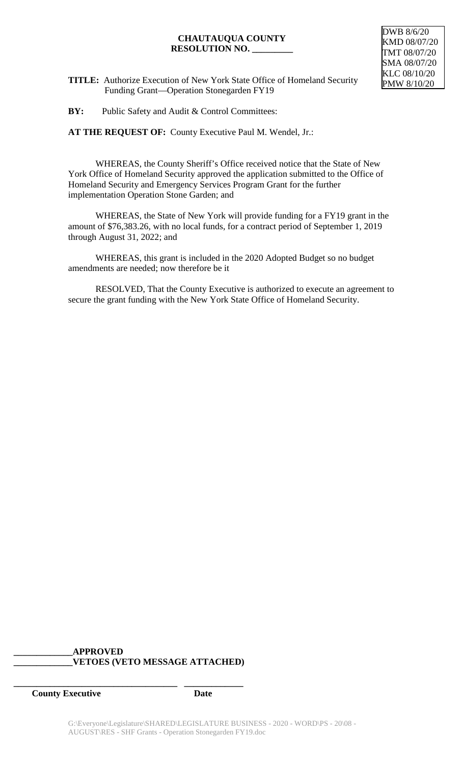#### **CHAUTAUQUA COUNTY RESOLUTION NO. \_\_\_\_\_\_\_\_\_**



**TITLE:** Authorize Execution of New York State Office of Homeland Security Funding Grant—Operation Stonegarden FY19

**BY:** Public Safety and Audit & Control Committees:

**AT THE REQUEST OF:** County Executive Paul M. Wendel, Jr.:

WHEREAS, the County Sheriff's Office received notice that the State of New York Office of Homeland Security approved the application submitted to the Office of Homeland Security and Emergency Services Program Grant for the further implementation Operation Stone Garden; and

WHEREAS, the State of New York will provide funding for a FY19 grant in the amount of \$76,383.26, with no local funds, for a contract period of September 1, 2019 through August 31, 2022; and

WHEREAS, this grant is included in the 2020 Adopted Budget so no budget amendments are needed; now therefore be it

RESOLVED, That the County Executive is authorized to execute an agreement to secure the grant funding with the New York State Office of Homeland Security.

## **\_\_\_\_\_\_\_\_\_\_\_\_\_APPROVED \_\_\_\_\_\_\_\_\_\_\_\_\_VETOES (VETO MESSAGE ATTACHED)**

**\_\_\_\_\_\_\_\_\_\_\_\_\_\_\_\_\_\_\_\_\_\_\_\_\_\_\_\_\_\_\_\_\_\_\_\_ \_\_\_\_\_\_\_\_\_\_\_\_\_**

**County Executive Date**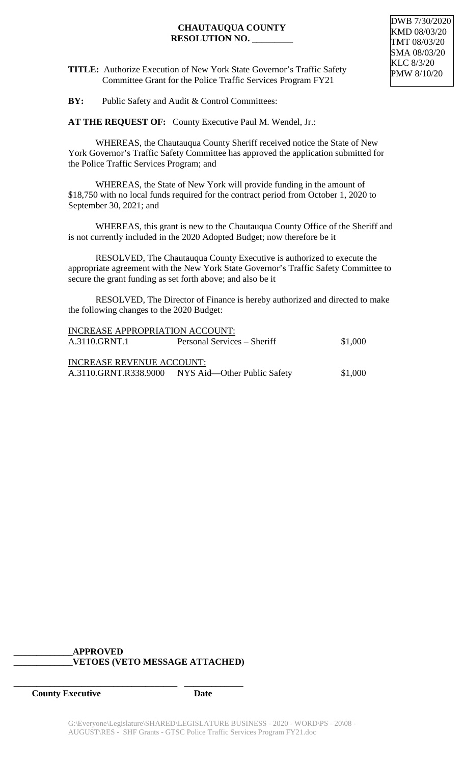## **CHAUTAUQUA COUNTY RESOLUTION NO. \_\_\_\_\_\_\_\_\_**

**TITLE:** Authorize Execution of New York State Governor's Traffic Safety Committee Grant for the Police Traffic Services Program FY21

**BY:** Public Safety and Audit & Control Committees:

**AT THE REQUEST OF:** County Executive Paul M. Wendel, Jr.:

WHEREAS, the Chautauqua County Sheriff received notice the State of New York Governor's Traffic Safety Committee has approved the application submitted for the Police Traffic Services Program; and

WHEREAS, the State of New York will provide funding in the amount of \$18,750 with no local funds required for the contract period from October 1, 2020 to September 30, 2021; and

WHEREAS, this grant is new to the Chautauqua County Office of the Sheriff and is not currently included in the 2020 Adopted Budget; now therefore be it

RESOLVED, The Chautauqua County Executive is authorized to execute the appropriate agreement with the New York State Governor's Traffic Safety Committee to secure the grant funding as set forth above; and also be it

RESOLVED, The Director of Finance is hereby authorized and directed to make the following changes to the 2020 Budget:

| <b>INCREASE APPROPRIATION ACCOUNT:</b> |                                                   |         |  |  |  |  |
|----------------------------------------|---------------------------------------------------|---------|--|--|--|--|
| A.3110.GRNT.1                          | Personal Services – Sheriff                       | \$1,000 |  |  |  |  |
| <b>INCREASE REVENUE ACCOUNT:</b>       |                                                   |         |  |  |  |  |
|                                        | A.3110.GRNT.R338.9000 NYS Aid—Other Public Safety | \$1,000 |  |  |  |  |

## **\_\_\_\_\_\_\_\_\_\_\_\_\_APPROVED \_\_\_\_\_\_\_\_\_\_\_\_\_VETOES (VETO MESSAGE ATTACHED)**

**\_\_\_\_\_\_\_\_\_\_\_\_\_\_\_\_\_\_\_\_\_\_\_\_\_\_\_\_\_\_\_\_\_\_\_\_ \_\_\_\_\_\_\_\_\_\_\_\_\_**

**County Executive Date**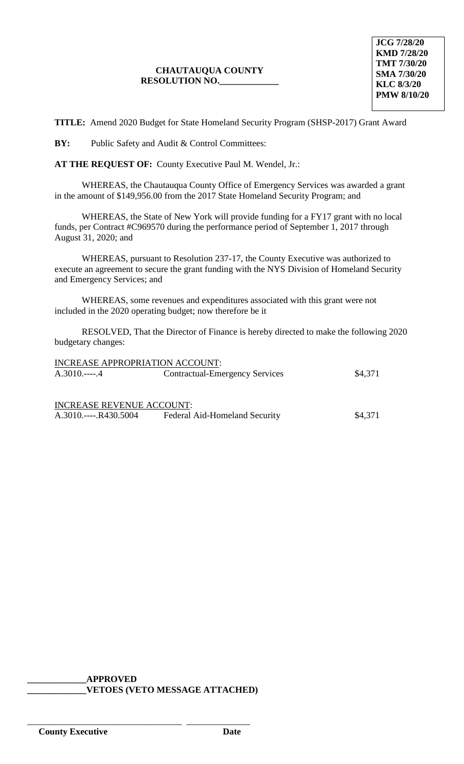# **CHAUTAUQUA COUNTY RESOLUTION NO.\_\_\_\_\_\_\_\_\_\_\_\_\_**

**JCG 7/28/20 KMD 7/28/20 TMT 7/30/20 SMA 7/30/20 KLC 8/3/20 PMW 8/10/20**

**TITLE:** Amend 2020 Budget for State Homeland Security Program (SHSP-2017) Grant Award

**BY:** Public Safety and Audit & Control Committees:

**AT THE REQUEST OF:** County Executive Paul M. Wendel, Jr.:

WHEREAS, the Chautauqua County Office of Emergency Services was awarded a grant in the amount of \$149,956.00 from the 2017 State Homeland Security Program; and

WHEREAS, the State of New York will provide funding for a FY17 grant with no local funds, per Contract #C969570 during the performance period of September 1, 2017 through August 31, 2020; and

WHEREAS, pursuant to Resolution 237-17, the County Executive was authorized to execute an agreement to secure the grant funding with the NYS Division of Homeland Security and Emergency Services; and

WHEREAS, some revenues and expenditures associated with this grant were not included in the 2020 operating budget; now therefore be it

RESOLVED, That the Director of Finance is hereby directed to make the following 2020 budgetary changes:

| INCREASE APPROPRIATION ACCOUNT:  |                                       |         |
|----------------------------------|---------------------------------------|---------|
|                                  | <b>Contractual-Emergency Services</b> | \$4,371 |
|                                  |                                       |         |
| <b>INCREASE REVENUE ACCOUNT:</b> |                                       |         |
| $A.3010$ R430.5004               | Federal Aid-Homeland Security         | \$4.371 |

# **\_\_\_\_\_\_\_\_\_\_\_\_\_APPROVED \_\_\_\_\_\_\_\_\_\_\_\_\_VETOES (VETO MESSAGE ATTACHED)**

\_\_\_\_\_\_\_\_\_\_\_\_\_\_\_\_\_\_\_\_\_\_\_\_\_\_\_\_\_\_\_\_\_\_ \_\_\_\_\_\_\_\_\_\_\_\_\_\_